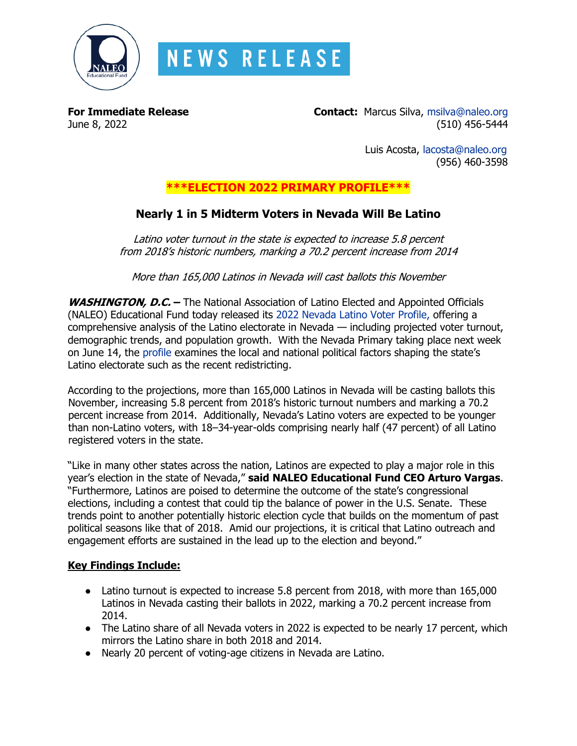

# **NEWS RELEASE**

**For Immediate Release Contact:** Marcus Silva, [msilva@naleo.org](mailto:msilva@naleo.org) June 8, 2022 (510) 456-5444

> Luis Acosta, [lacosta@naleo.org](mailto:lacosta@naleo.org) (956) 460-3598

### **\*\*\*ELECTION 2022 PRIMARY PROFILE\*\*\***

## **Nearly 1 in 5 Midterm Voters in Nevada Will Be Latino**

Latino voter turnout in the state is expected to increase 5.8 percent from 2018's historic numbers, marking a 70.2 percent increase from 2014

More than 165,000 Latinos in Nevada will cast ballots this November

**WASHINGTON, D.C. –** The National Association of Latino Elected and Appointed Officials (NALEO) Educational Fund today released its [2022 Nevada Latino Voter Profile,](https://bit.ly/NV22Profile) offering a comprehensive analysis of the Latino electorate in Nevada — including projected voter turnout, demographic trends, and population growth. With the Nevada Primary taking place next week on June 14, the [profile](https://bit.ly/NV22Profile) examines the local and national political factors shaping the state's Latino electorate such as the recent redistricting.

According to the projections, more than 165,000 Latinos in Nevada will be casting ballots this November, increasing 5.8 percent from 2018's historic turnout numbers and marking a 70.2 percent increase from 2014. Additionally, Nevada's Latino voters are expected to be younger than non-Latino voters, with 18–34-year-olds comprising nearly half (47 percent) of all Latino registered voters in the state.

"Like in many other states across the nation, Latinos are expected to play a major role in this year's election in the state of Nevada," **said NALEO Educational Fund CEO Arturo Vargas**. "Furthermore, Latinos are poised to determine the outcome of the state's congressional elections, including a contest that could tip the balance of power in the U.S. Senate. These trends point to another potentially historic election cycle that builds on the momentum of past political seasons like that of 2018. Amid our projections, it is critical that Latino outreach and engagement efforts are sustained in the lead up to the election and beyond."

#### **Key Findings Include:**

- Latino turnout is expected to increase 5.8 percent from 2018, with more than 165,000 Latinos in Nevada casting their ballots in 2022, marking a 70.2 percent increase from 2014.
- The Latino share of all Nevada voters in 2022 is expected to be nearly 17 percent, which mirrors the Latino share in both 2018 and 2014.
- Nearly 20 percent of voting-age citizens in Nevada are Latino.